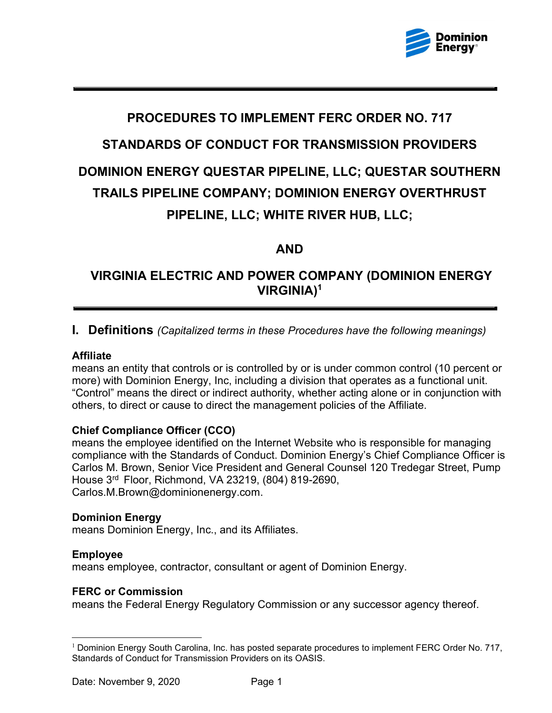

# PROCEDURES TO IMPLEMENT FERC ORDER NO. 717 STANDARDS OF CONDUCT FOR TRANSMISSION PROVIDERS DOMINION ENERGY QUESTAR PIPELINE, LLC; QUESTAR SOUTHERN TRAILS PIPELINE COMPANY; DOMINION ENERGY OVERTHRUST PIPELINE, LLC; WHITE RIVER HUB, LLC;

### AND

# VIRGINIA ELECTRIC AND POWER COMPANY (DOMINION ENERGY VIRGINIA)1

### **I. Definitions** (Capitalized terms in these Procedures have the following meanings)

### Affiliate

 means an entity that controls or is controlled by or is under common control (10 percent or more) with Dominion Energy, Inc, including a division that operates as a functional unit. "Control" means the direct or indirect authority, whether acting alone or in conjunction with others, to direct or cause to direct the management policies of the Affiliate.

### Chief Compliance Officer (CCO)

 means the employee identified on the Internet Website who is responsible for managing compliance with the Standards of Conduct. Dominion Energy's Chief Compliance Officer is Carlos M. Brown, Senior Vice President and General Counsel 120 Tredegar Street, Pump House 3rd Floor, Richmond, VA 23219, (804) 819-2690, Carlos.M.Brown@dominionenergy.com.

### Dominion Energy

means Dominion Energy, Inc., and its Affiliates.

### Employee

means employee, contractor, consultant or agent of Dominion Energy.

### FERC or Commission

means the Federal Energy Regulatory Commission or any successor agency thereof.

 $^{\rm 1}$  Dominion Energy South Carolina, Inc. has posted separate procedures to implement FERC Order No. 717, Standards of Conduct for Transmission Providers on its OASIS.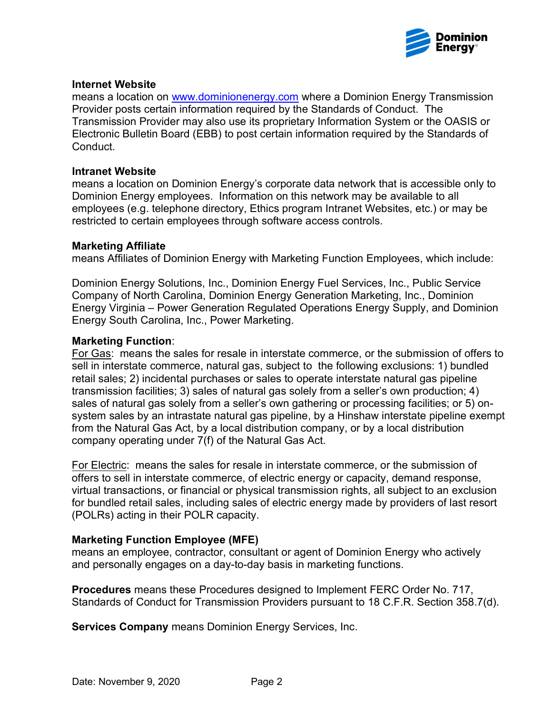

### Internet Website

means a location on <u>www.dominionenergy.com</u> where a Dominion Energy Transmission Provider posts certain information required by the Standards of Conduct. The Transmission Provider may also use its proprietary Information System or the OASIS or Electronic Bulletin Board (EBB) to post certain information required by the Standards of Conduct.

### Intranet Website

 means a location on Dominion Energy's corporate data network that is accessible only to Dominion Energy employees. Information on this network may be available to all employees (e.g. telephone directory, Ethics program Intranet Websites, etc.) or may be restricted to certain employees through software access controls.

#### Marketing Affiliate

means Affiliates of Dominion Energy with Marketing Function Employees, which include:

 Dominion Energy Solutions, Inc., Dominion Energy Fuel Services, Inc., Public Service Company of North Carolina, Dominion Energy Generation Marketing, Inc., Dominion Energy Virginia – Power Generation Regulated Operations Energy Supply, and Dominion Energy South Carolina, Inc., Power Marketing.

#### Marketing Function:

 For Gas: means the sales for resale in interstate commerce, or the submission of offers to sell in interstate commerce, natural gas, subject to the following exclusions: 1) bundled retail sales; 2) incidental purchases or sales to operate interstate natural gas pipeline transmission facilities; 3) sales of natural gas solely from a seller's own production; 4) sales of natural gas solely from a seller's own gathering or processing facilities; or 5) on- system sales by an intrastate natural gas pipeline, by a Hinshaw interstate pipeline exempt from the Natural Gas Act, by a local distribution company, or by a local distribution company operating under 7(f) of the Natural Gas Act.

For Electric: means the sales for resale in interstate commerce, or the submission of offers to sell in interstate commerce, of electric energy or capacity, demand response, virtual transactions, or financial or physical transmission rights, all subject to an exclusion for bundled retail sales, including sales of electric energy made by providers of last resort (POLRs) acting in their POLR capacity.

### Marketing Function Employee (MFE)

 means an employee, contractor, consultant or agent of Dominion Energy who actively and personally engages on a day-to-day basis in marketing functions.

Procedures means these Procedures designed to Implement FERC Order No. 717, Standards of Conduct for Transmission Providers pursuant to 18 C.F.R. Section 358.7(d).

Services Company means Dominion Energy Services, Inc.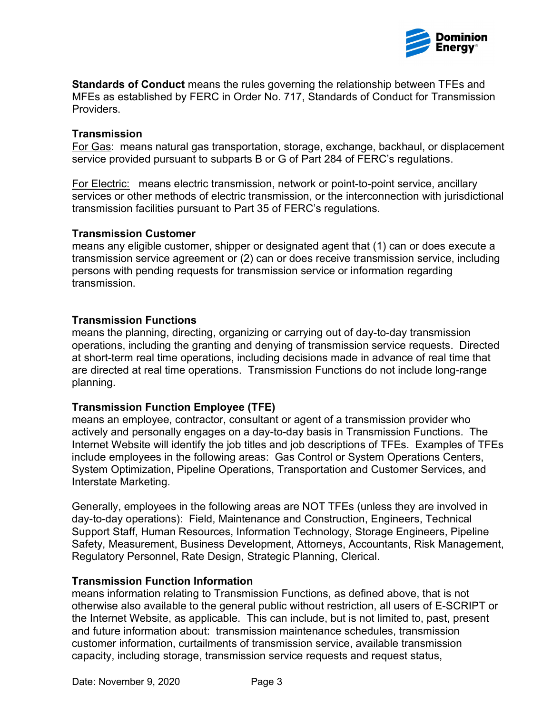

Standards of Conduct means the rules governing the relationship between TFEs and MFEs as established by FERC in Order No. 717, Standards of Conduct for Transmission **Providers** 

#### **Transmission**

 For Gas: means natural gas transportation, storage, exchange, backhaul, or displacement service provided pursuant to subparts B or G of Part 284 of FERC's regulations.

 For Electric: means electric transmission, network or point-to-point service, ancillary services or other methods of electric transmission, or the interconnection with jurisdictional transmission facilities pursuant to Part 35 of FERC's regulations.

### Transmission Customer

 means any eligible customer, shipper or designated agent that (1) can or does execute a transmission service agreement or (2) can or does receive transmission service, including persons with pending requests for transmission service or information regarding transmission.

### Transmission Functions

 means the planning, directing, organizing or carrying out of day-to-day transmission operations, including the granting and denying of transmission service requests. Directed at short-term real time operations, including decisions made in advance of real time that are directed at real time operations. Transmission Functions do not include long-range planning.

### Transmission Function Employee (TFE)

 means an employee, contractor, consultant or agent of a transmission provider who actively and personally engages on a day-to-day basis in Transmission Functions. The Internet Website will identify the job titles and job descriptions of TFEs. Examples of TFEs include employees in the following areas: Gas Control or System Operations Centers, System Optimization, Pipeline Operations, Transportation and Customer Services, and Interstate Marketing.

 Generally, employees in the following areas are NOT TFEs (unless they are involved in day-to-day operations): Field, Maintenance and Construction, Engineers, Technical Support Staff, Human Resources, Information Technology, Storage Engineers, Pipeline Safety, Measurement, Business Development, Attorneys, Accountants, Risk Management, Regulatory Personnel, Rate Design, Strategic Planning, Clerical.

### Transmission Function Information

 means information relating to Transmission Functions, as defined above, that is not otherwise also available to the general public without restriction, all users of E-SCRIPT or the Internet Website, as applicable. This can include, but is not limited to, past, present and future information about: transmission maintenance schedules, transmission customer information, curtailments of transmission service, available transmission capacity, including storage, transmission service requests and request status,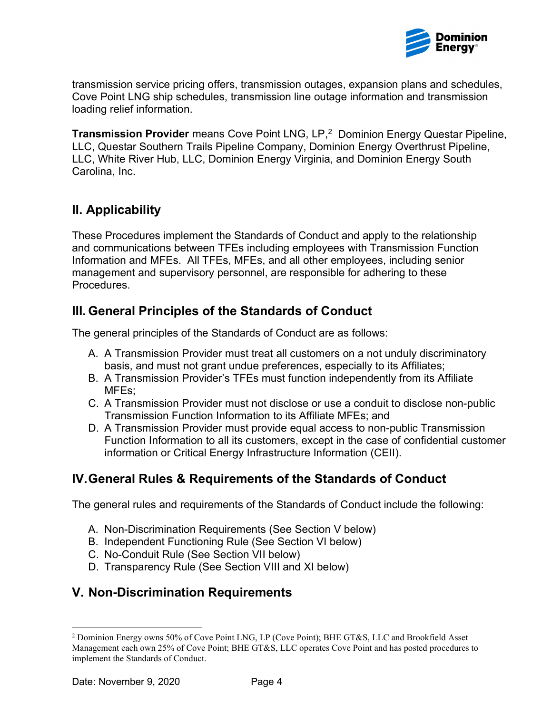

 transmission service pricing offers, transmission outages, expansion plans and schedules, Cove Point LNG ship schedules, transmission line outage information and transmission loading relief information.

**Transmission Provider** means Cove Point LNG, LP,<sup>2</sup> Dominion Energy Questar Pipeline, LLC, Questar Southern Trails Pipeline Company, Dominion Energy Overthrust Pipeline, LLC, White River Hub, LLC, Dominion Energy Virginia, and Dominion Energy South Carolina, Inc.

# II. Applicability

 These Procedures implement the Standards of Conduct and apply to the relationship and communications between TFEs including employees with Transmission Function Information and MFEs. All TFEs, MFEs, and all other employees, including senior management and supervisory personnel, are responsible for adhering to these Procedures.

# III. General Principles of the Standards of Conduct

The general principles of the Standards of Conduct are as follows:

- A. A Transmission Provider must treat all customers on a not unduly discriminatory basis, and must not grant undue preferences, especially to its Affiliates;
- B. A Transmission Provider's TFEs must function independently from its Affiliate MFEs;
- C. A Transmission Provider must not disclose or use a conduit to disclose non-public Transmission Function Information to its Affiliate MFEs; and
- D. A Transmission Provider must provide equal access to non-public Transmission Function Information to all its customers, except in the case of confidential customer information or Critical Energy Infrastructure Information (CEII).

# IV.General Rules & Requirements of the Standards of Conduct

The general rules and requirements of the Standards of Conduct include the following:

- A. Non-Discrimination Requirements (See Section V below)
- B. Independent Functioning Rule (See Section VI below)
- C. No-Conduit Rule (See Section VII below)
- D. Transparency Rule (See Section VIII and XI below)

# V. Non-Discrimination Requirements

<sup>&</sup>lt;sup>2</sup> Dominion Energy owns 50% of Cove Point LNG, LP (Cove Point); BHE GT&S, LLC and Brookfield Asset Management each own 25% of Cove Point; BHE GT&S, LLC operates Cove Point and has posted procedures to implement the Standards of Conduct.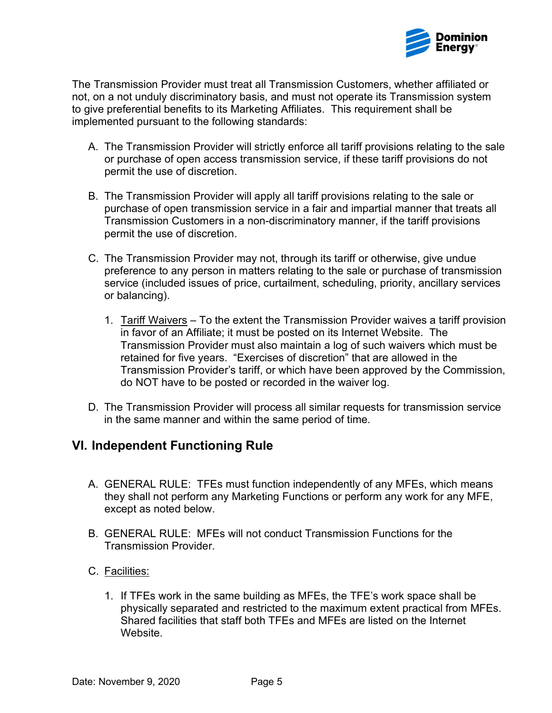

 The Transmission Provider must treat all Transmission Customers, whether affiliated or not, on a not unduly discriminatory basis, and must not operate its Transmission system to give preferential benefits to its Marketing Affiliates. This requirement shall be implemented pursuant to the following standards:

- A. The Transmission Provider will strictly enforce all tariff provisions relating to the sale or purchase of open access transmission service, if these tariff provisions do not permit the use of discretion.
- B. The Transmission Provider will apply all tariff provisions relating to the sale or purchase of open transmission service in a fair and impartial manner that treats all Transmission Customers in a non-discriminatory manner, if the tariff provisions permit the use of discretion.
- C. The Transmission Provider may not, through its tariff or otherwise, give undue preference to any person in matters relating to the sale or purchase of transmission service (included issues of price, curtailment, scheduling, priority, ancillary services or balancing).
	- 1. Tariff Waivers To the extent the Transmission Provider waives a tariff provision in favor of an Affiliate; it must be posted on its Internet Website. The Transmission Provider must also maintain a log of such waivers which must be retained for five years. "Exercises of discretion" that are allowed in the Transmission Provider's tariff, or which have been approved by the Commission, do NOT have to be posted or recorded in the waiver log.
- D. The Transmission Provider will process all similar requests for transmission service in the same manner and within the same period of time.

### VI. Independent Functioning Rule

- A. GENERAL RULE: TFEs must function independently of any MFEs, which means they shall not perform any Marketing Functions or perform any work for any MFE, except as noted below.
- B. GENERAL RULE: MFEs will not conduct Transmission Functions for the Transmission Provider.
- C. <u>Facilities:</u>
	- 1. If TFEs work in the same building as MFEs, the TFE's work space shall be physically separated and restricted to the maximum extent practical from MFEs. Shared facilities that staff both TFEs and MFEs are listed on the Internet Website.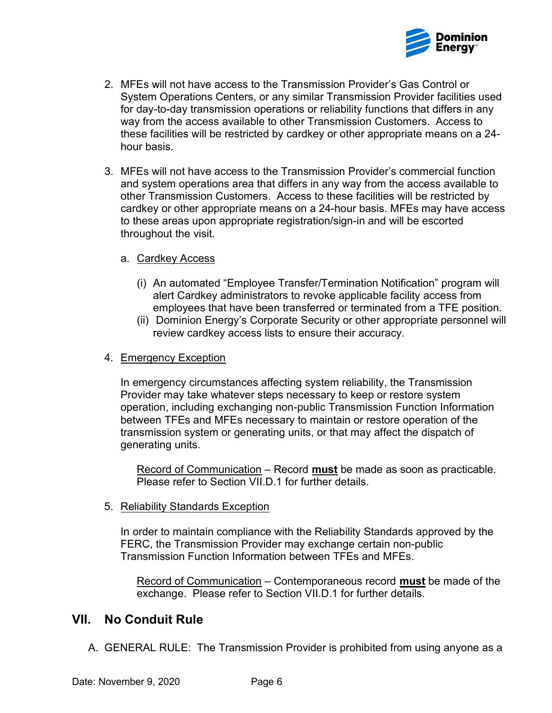

- 2. MFEs will not have access to the Transmission Provider's Gas Control or System Operations Centers, or any similar Transmission Provider facilities used for day-to-day transmission operations or reliability functions that differs in any way from the access available to other Transmission Customers. Access to these facilities will be restricted by cardkey or other appropriate means on a 24- hour basis.
- 3. MFEs will not have access to the Transmission Provider's commercial function and system operations area that differs in any way from the access available to other Transmission Customers. Access to these facilities will be restricted by cardkey or other appropriate means on a 24-hour basis. MFEs may have access to these areas upon appropriate registration/sign-in and will be escorted throughout the visit.

### a. Cardkey Access

- (i) An automated "Employee Transfer/Termination Notification" program will alert Cardkey administrators to revoke applicable facility access from employees that have been transferred or terminated from a TFE position.
- (ii) Dominion Energy's Corporate Security or other appropriate personnel will review cardkey access lists to ensure their accuracy.

### 4. Emergency Exception

 In emergency circumstances affecting system reliability, the Transmission Provider may take whatever steps necessary to keep or restore system operation, including exchanging non-public Transmission Function Information between TFEs and MFEs necessary to maintain or restore operation of the transmission system or generating units, or that may affect the dispatch of generating units.

Record of Communication – Record must be made as soon as practicable. Please refer to Section VII.D.1 for further details.

#### 5. Reliability Standards Exception

 In order to maintain compliance with the Reliability Standards approved by the FERC, the Transmission Provider may exchange certain non-public Transmission Function Information between TFEs and MFEs.

Record of Communication – Contemporaneous record **must** be made of the exchange. Please refer to Section VII.D.1 for further details.

### VII. No Conduit Rule

A. GENERAL RULE: The Transmission Provider is prohibited from using anyone as a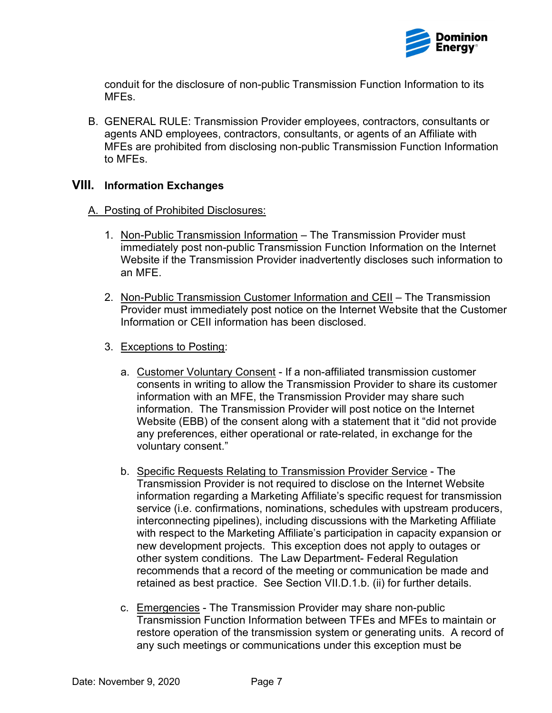

 conduit for the disclosure of non-public Transmission Function Information to its MFEs.

 B. GENERAL RULE: Transmission Provider employees, contractors, consultants or agents AND employees, contractors, consultants, or agents of an Affiliate with MFEs are prohibited from disclosing non-public Transmission Function Information to MFEs.

### VIII. Information Exchanges

- A. Posting of Prohibited Disclosures:
	- 1. Non-Public Transmission Information The Transmission Provider must immediately post non-public Transmission Function Information on the Internet Website if the Transmission Provider inadvertently discloses such information to an MFE.
	- 2. Non-Public Transmission Customer Information and CEII The Transmission Provider must immediately post notice on the Internet Website that the Customer Information or CEII information has been disclosed.
	- 3. Exceptions to Posting:
		- a. Customer Voluntary Consent If a non-affiliated transmission customer consents in writing to allow the Transmission Provider to share its customer information with an MFE, the Transmission Provider may share such information. The Transmission Provider will post notice on the Internet Website (EBB) of the consent along with a statement that it "did not provide any preferences, either operational or rate-related, in exchange for the voluntary consent."
		- b. Specific Requests Relating to Transmission Provider Service The Transmission Provider is not required to disclose on the Internet Website information regarding a Marketing Affiliate's specific request for transmission service (i.e. confirmations, nominations, schedules with upstream producers, interconnecting pipelines), including discussions with the Marketing Affiliate with respect to the Marketing Affiliate's participation in capacity expansion or new development projects. This exception does not apply to outages or other system conditions. The Law Department- Federal Regulation recommends that a record of the meeting or communication be made and retained as best practice. See Section VII.D.1.b. (ii) for further details.
		- c. Emergencies The Transmission Provider may share non-public Transmission Function Information between TFEs and MFEs to maintain or restore operation of the transmission system or generating units. A record of any such meetings or communications under this exception must be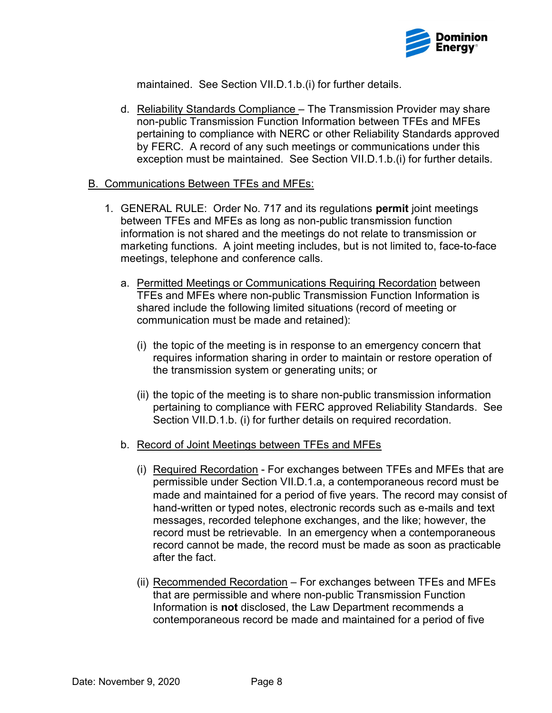

maintained. See Section VII.D.1.b.(i) for further details.

d. Reliability Standards Compliance - The Transmission Provider may share non-public Transmission Function Information between TFEs and MFEs pertaining to compliance with NERC or other Reliability Standards approved by FERC. A record of any such meetings or communications under this exception must be maintained. See Section VII.D.1.b.(i) for further details.

### B. Communications Between TFEs and MFEs:

- 1. GENERAL RULE: Order No. 717 and its regulations permit joint meetings between TFEs and MFEs as long as non-public transmission function information is not shared and the meetings do not relate to transmission or marketing functions. A joint meeting includes, but is not limited to, face-to-face meetings, telephone and conference calls.
	- a. Permitted Meetings or Communications Requiring Recordation between TFEs and MFEs where non-public Transmission Function Information is shared include the following limited situations (record of meeting or communication must be made and retained):
		- (i) the topic of the meeting is in response to an emergency concern that requires information sharing in order to maintain or restore operation of the transmission system or generating units; or
		- (ii) the topic of the meeting is to share non-public transmission information pertaining to compliance with FERC approved Reliability Standards. See Section VII.D.1.b. (i) for further details on required recordation.
	- b. Record of Joint Meetings between TFEs and MFEs
		- (i) Required Recordation For exchanges between TFEs and MFEs that are permissible under Section VII.D.1.a, a contemporaneous record must be made and maintained for a period of five years. The record may consist of hand-written or typed notes, electronic records such as e-mails and text messages, recorded telephone exchanges, and the like; however, the record must be retrievable. In an emergency when a contemporaneous record cannot be made, the record must be made as soon as practicable after the fact.
		- (ii) Recommended Recordation For exchanges between TFEs and MFEs that are permissible and where non-public Transmission Function Information is not disclosed, the Law Department recommends a contemporaneous record be made and maintained for a period of five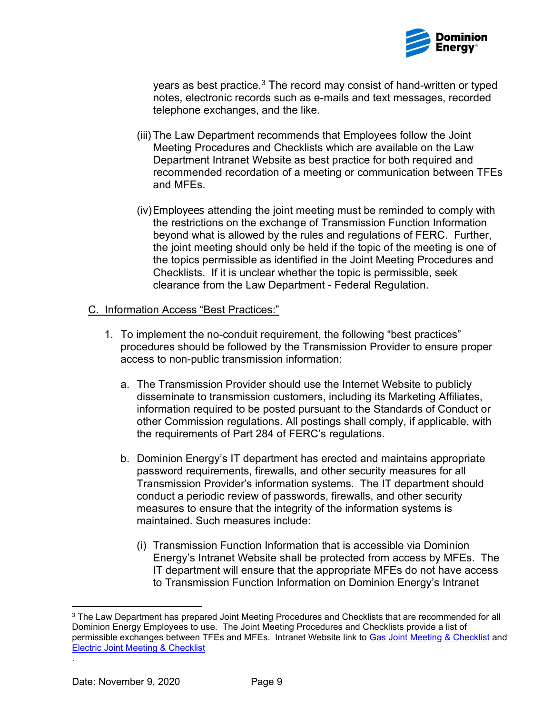

years as best practice. $^3$  The record may consist of hand-written or typed notes, electronic records such as e-mails and text messages, recorded telephone exchanges, and the like.

- (iii) The Law Department recommends that Employees follow the Joint Meeting Procedures and Checklists which are available on the Law Department Intranet Website as best practice for both required and recommended recordation of a meeting or communication between TFEs and MFEs.
- (iv)Employees attending the joint meeting must be reminded to comply with the restrictions on the exchange of Transmission Function Information beyond what is allowed by the rules and regulations of FERC. Further, the joint meeting should only be held if the topic of the meeting is one of the topics permissible as identified in the Joint Meeting Procedures and Checklists. If it is unclear whether the topic is permissible, seek clearance from the Law Department - Federal Regulation.

### C. Information Access "Best Practices:"

- 1. To implement the no-conduit requirement, the following "best practices" procedures should be followed by the Transmission Provider to ensure proper access to non-public transmission information:
	- a. The Transmission Provider should use the Internet Website to publicly disseminate to transmission customers, including its Marketing Affiliates, information required to be posted pursuant to the Standards of Conduct or other Commission regulations. All postings shall comply, if applicable, with the requirements of Part 284 of FERC's regulations.
	- b. Dominion Energy's IT department has erected and maintains appropriate password requirements, firewalls, and other security measures for all Transmission Provider's information systems. The IT department should conduct a periodic review of passwords, firewalls, and other security measures to ensure that the integrity of the information systems is maintained. Such measures include:
		- (i) Transmission Function Information that is accessible via Dominion Energy's Intranet Website shall be protected from access by MFEs. The IT department will ensure that the appropriate MFEs do not have access to Transmission Function Information on Dominion Energy's Intranet

.

 $^3$  The Law Department has prepared Joint Meeting Procedures and Checklists that are recommended for all Dominion Energy Employees to use. The Joint Meeting Procedures and Checklists provide a list of permissible exchanges between TFEs and MFEs. Intranet Website link to <u>Gas Joint Meeting & Checklist</u> and Electric Joint Meeting & Checklist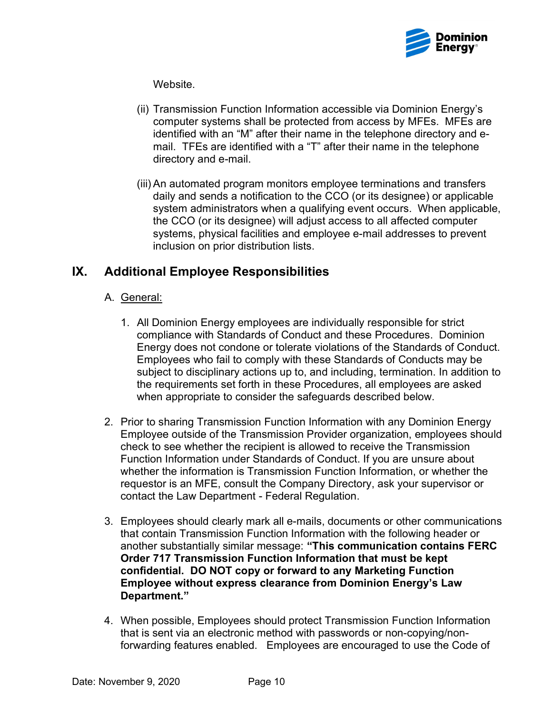

Website.

- (ii) Transmission Function Information accessible via Dominion Energy's computer systems shall be protected from access by MFEs. MFEs are identified with an "M" after their name in the telephone directory and e- mail. TFEs are identified with a "T" after their name in the telephone directory and e-mail.
- (iii) An automated program monitors employee terminations and transfers daily and sends a notification to the CCO (or its designee) or applicable system administrators when a qualifying event occurs. When applicable, the CCO (or its designee) will adjust access to all affected computer systems, physical facilities and employee e-mail addresses to prevent inclusion on prior distribution lists.

# IX. Additional Employee Responsibilities

### A. <u>General:</u>

- 1. All Dominion Energy employees are individually responsible for strict compliance with Standards of Conduct and these Procedures. Dominion Energy does not condone or tolerate violations of the Standards of Conduct. Employees who fail to comply with these Standards of Conducts may be subject to disciplinary actions up to, and including, termination. In addition to the requirements set forth in these Procedures, all employees are asked when appropriate to consider the safeguards described below.
- 2. Prior to sharing Transmission Function Information with any Dominion Energy Employee outside of the Transmission Provider organization, employees should check to see whether the recipient is allowed to receive the Transmission Function Information under Standards of Conduct. If you are unsure about whether the information is Transmission Function Information, or whether the requestor is an MFE, consult the Company Directory, ask your supervisor or contact the Law Department - Federal Regulation.
- 3. Employees should clearly mark all e-mails, documents or other communications that contain Transmission Function Information with the following header or another substantially similar message: "This communication contains FERC Order 717 Transmission Function Information that must be kept confidential. DO NOT copy or forward to any Marketing Function Employee without express clearance from Dominion Energy's Law Department."
- 4. When possible, Employees should protect Transmission Function Information that is sent via an electronic method with passwords or non-copying/non-forwarding features enabled. Employees are encouraged to use the Code of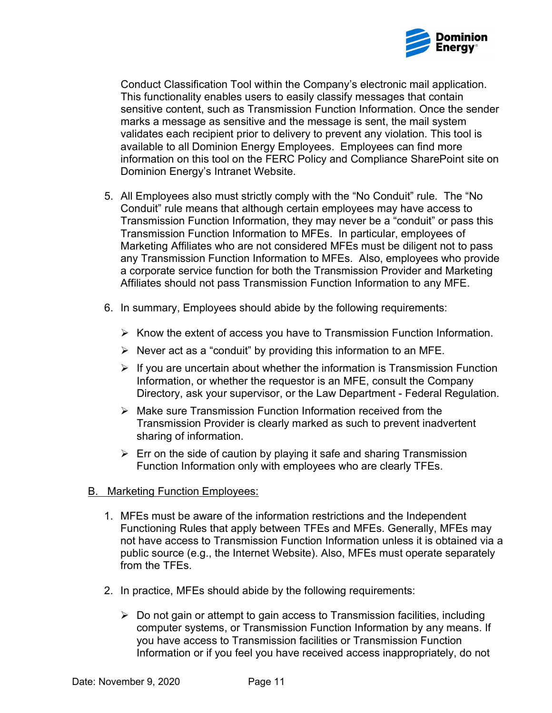

 Conduct Classification Tool within the Company's electronic mail application. This functionality enables users to easily classify messages that contain sensitive content, such as Transmission Function Information. Once the sender marks a message as sensitive and the message is sent, the mail system validates each recipient prior to delivery to prevent any violation. This tool is available to all Dominion Energy Employees. Employees can find more information on this tool on the FERC Policy and Compliance SharePoint site on Dominion Energy's Intranet Website.

- 5. All Employees also must strictly comply with the "No Conduit" rule. The "No Conduit" rule means that although certain employees may have access to Transmission Function Information, they may never be a "conduit" or pass this Transmission Function Information to MFEs. In particular, employees of Marketing Affiliates who are not considered MFEs must be diligent not to pass any Transmission Function Information to MFEs. Also, employees who provide a corporate service function for both the Transmission Provider and Marketing Affiliates should not pass Transmission Function Information to any MFE.
- 6. In summary, Employees should abide by the following requirements:
	- $\triangleright$  Know the extent of access you have to Transmission Function Information.
	- $\triangleright$  Never act as a "conduit" by providing this information to an MFE.
	- $\triangleright$  If you are uncertain about whether the information is Transmission Function Information, or whether the requestor is an MFE, consult the Company Directory, ask your supervisor, or the Law Department - Federal Regulation.
	- $\triangleright$  Make sure Transmission Function Information received from the Transmission Provider is clearly marked as such to prevent inadvertent sharing of information.
	- $\triangleright$  Err on the side of caution by playing it safe and sharing Transmission Function Information only with employees who are clearly TFEs.
- **B.** Marketing Function Employees:
	- 1. MFEs must be aware of the information restrictions and the Independent Functioning Rules that apply between TFEs and MFEs. Generally, MFEs may not have access to Transmission Function Information unless it is obtained via a public source (e.g., the Internet Website). Also, MFEs must operate separately from the TFEs.
	- 2. In practice, MFEs should abide by the following requirements:
		- Do not gain or attempt to gain access to Transmission facilities, including computer systems, or Transmission Function Information by any means. If you have access to Transmission facilities or Transmission Function Information or if you feel you have received access inappropriately, do not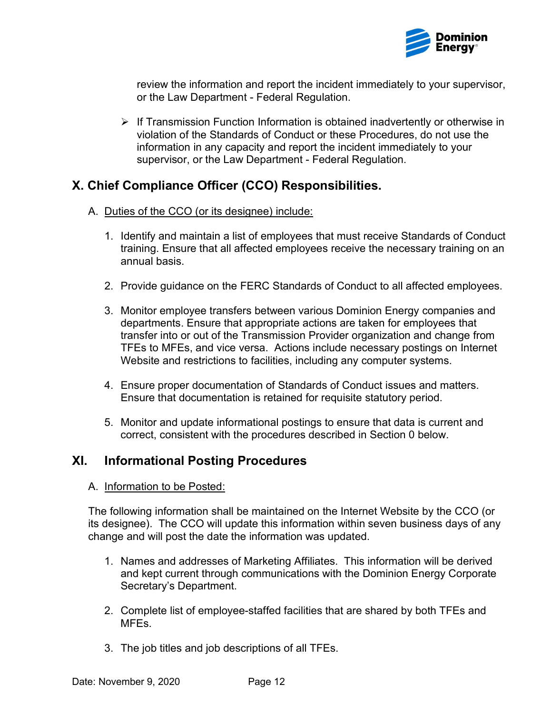

 review the information and report the incident immediately to your supervisor, or the Law Department - Federal Regulation.

 $\triangleright$  If Transmission Function Information is obtained inadvertently or otherwise in violation of the Standards of Conduct or these Procedures, do not use the information in any capacity and report the incident immediately to your supervisor, or the Law Department - Federal Regulation.

# X. Chief Compliance Officer (CCO) Responsibilities.

- A. Duties of the CCO (or its designee) include:
	- 1. Identify and maintain a list of employees that must receive Standards of Conduct training. Ensure that all affected employees receive the necessary training on an annual basis.
	- 2. Provide guidance on the FERC Standards of Conduct to all affected employees.
	- 3. Monitor employee transfers between various Dominion Energy companies and departments. Ensure that appropriate actions are taken for employees that transfer into or out of the Transmission Provider organization and change from TFEs to MFEs, and vice versa. Actions include necessary postings on Internet Website and restrictions to facilities, including any computer systems.
	- 4. Ensure proper documentation of Standards of Conduct issues and matters. Ensure that documentation is retained for requisite statutory period.
	- 5. Monitor and update informational postings to ensure that data is current and correct, consistent with the procedures described in Section 0 below.

### XI. Informational Posting Procedures

A. Information to be Posted:

 The following information shall be maintained on the Internet Website by the CCO (or its designee). The CCO will update this information within seven business days of any change and will post the date the information was updated.

- 1. Names and addresses of Marketing Affiliates. This information will be derived and kept current through communications with the Dominion Energy Corporate Secretary's Department.
- 2. Complete list of employee-staffed facilities that are shared by both TFEs and MFEs.
- 3. The job titles and job descriptions of all TFEs.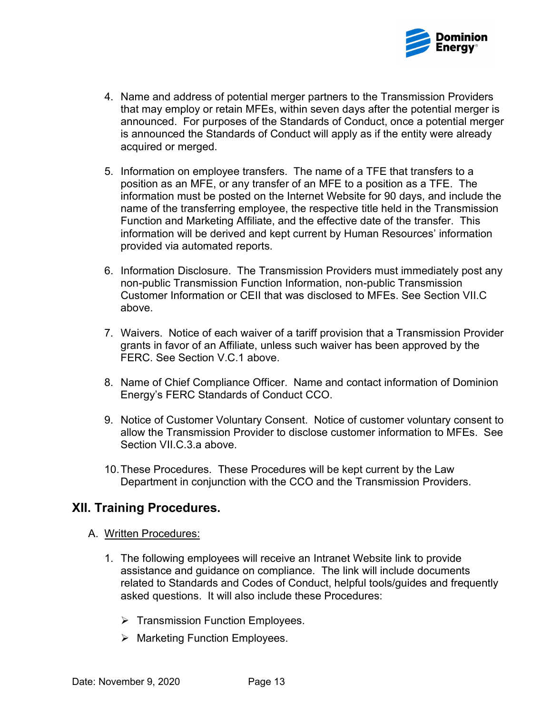

- 4. Name and address of potential merger partners to the Transmission Providers that may employ or retain MFEs, within seven days after the potential merger is announced. For purposes of the Standards of Conduct, once a potential merger is announced the Standards of Conduct will apply as if the entity were already acquired or merged.
- 5. Information on employee transfers. The name of a TFE that transfers to a position as an MFE, or any transfer of an MFE to a position as a TFE. The information must be posted on the Internet Website for 90 days, and include the name of the transferring employee, the respective title held in the Transmission Function and Marketing Affiliate, and the effective date of the transfer. This information will be derived and kept current by Human Resources' information provided via automated reports.
- 6. Information Disclosure. The Transmission Providers must immediately post any non-public Transmission Function Information, non-public Transmission Customer Information or CEII that was disclosed to MFEs. See Section VII.C above.
- 7. Waivers. Notice of each waiver of a tariff provision that a Transmission Provider grants in favor of an Affiliate, unless such waiver has been approved by the FERC. See Section V.C.1 above.
- 8. Name of Chief Compliance Officer. Name and contact information of Dominion Energy's FERC Standards of Conduct CCO.
- 9. Notice of Customer Voluntary Consent. Notice of customer voluntary consent to allow the Transmission Provider to disclose customer information to MFEs. See Section VII.C.3.a above.
- 10.These Procedures. These Procedures will be kept current by the Law Department in conjunction with the CCO and the Transmission Providers.

### XII. Training Procedures.

- A. Written Procedures:
	- 1. The following employees will receive an Intranet Website link to provide assistance and guidance on compliance. The link will include documents related to Standards and Codes of Conduct, helpful tools/guides and frequently asked questions. It will also include these Procedures:
		- $\triangleright$  Transmission Function Employees.
		- Marketing Function Employees.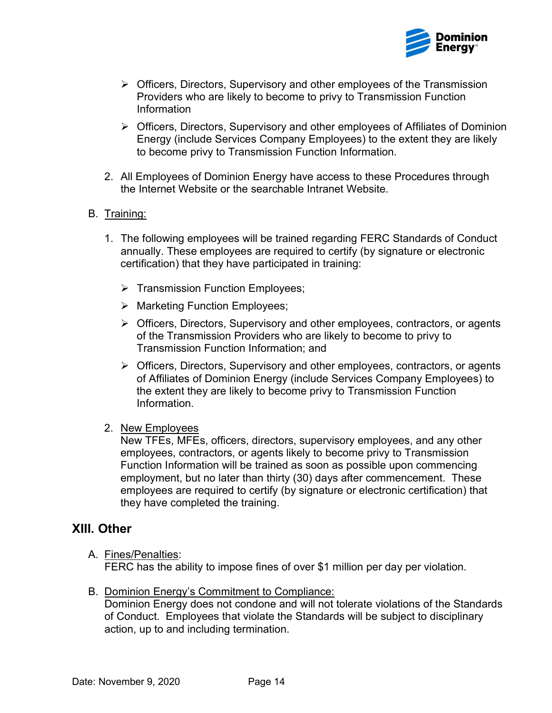

- Officers, Directors, Supervisory and other employees of the Transmission Providers who are likely to become to privy to Transmission Function Information
- Officers, Directors, Supervisory and other employees of Affiliates of Dominion Energy (include Services Company Employees) to the extent they are likely to become privy to Transmission Function Information.
- 2. All Employees of Dominion Energy have access to these Procedures through the Internet Website or the searchable Intranet Website.

### B. Training:

- 1. The following employees will be trained regarding FERC Standards of Conduct annually. These employees are required to certify (by signature or electronic certification) that they have participated in training:
	- $\triangleright$  Transmission Function Employees;
	- Marketing Function Employees;
	- Officers, Directors, Supervisory and other employees, contractors, or agents of the Transmission Providers who are likely to become to privy to Transmission Function Information; and
	- Officers, Directors, Supervisory and other employees, contractors, or agents of Affiliates of Dominion Energy (include Services Company Employees) to the extent they are likely to become privy to Transmission Function Information.
- 2. New Employees

 New TFEs, MFEs, officers, directors, supervisory employees, and any other employees, contractors, or agents likely to become privy to Transmission Function Information will be trained as soon as possible upon commencing employment, but no later than thirty (30) days after commencement. These employees are required to certify (by signature or electronic certification) that they have completed the training.

### XIII. Other

- FERC has the ability to impose fines of over \$1 million per day per violation. A. Fines/Penalties:
- B. Dominion Energy's Commitment to Compliance: Dominion Energy does not condone and will not tolerate violations of the Standards of Conduct. Employees that violate the Standards will be subject to disciplinary action, up to and including termination.